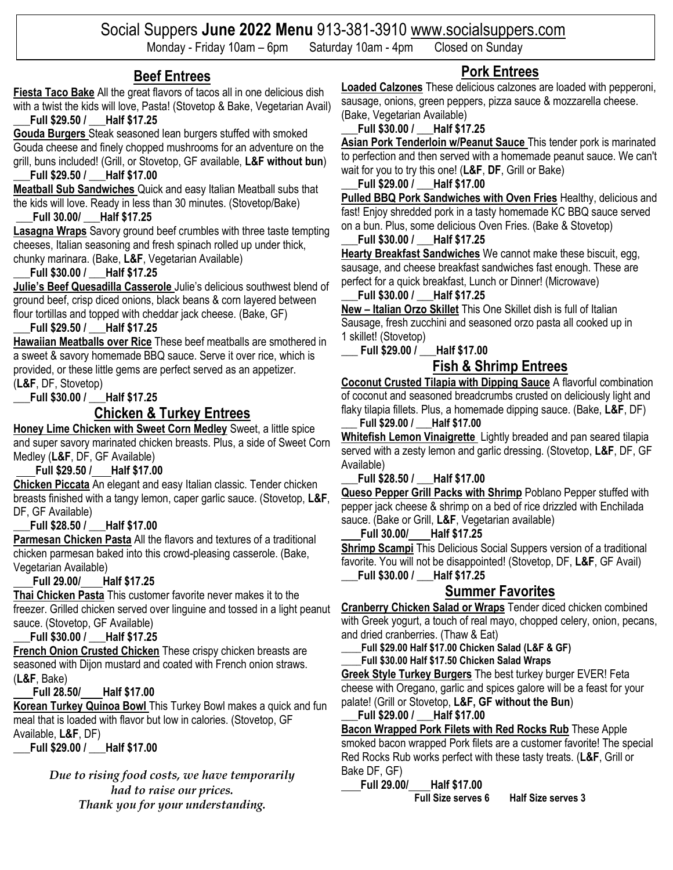# Social Suppers **June 2022 Menu** 913-381-3910 [www.socialsuppers.com](http://www.socialsuppers.com/)

Monday - Friday 10am – 6pm Saturday 10am - 4pm Closed on Sunday

### **Beef Entrees**

### **Fiesta Taco Bake** All the great flavors of tacos all in one delicious dish with a twist the kids will love, Pasta! (Stovetop & Bake, Vegetarian Avail)

**\_\_\_Full \$29.50 / \_\_\_Half \$17.25**

**Gouda Burgers** Steak seasoned lean burgers stuffed with smoked Gouda cheese and finely chopped mushrooms for an adventure on the grill, buns included! (Grill, or Stovetop, GF available, **L&F without bun**) **\_\_\_Full \$29.50 / \_\_\_Half \$17.00**

**Meatball Sub Sandwiches** Quick and easy Italian Meatball subs that the kids will love. Ready in less than 30 minutes. (Stovetop/Bake)

#### **\_\_\_Full 30.00/ \_\_\_Half \$17.25**

**Lasagna Wraps** Savory ground beef crumbles with three taste tempting cheeses, Italian seasoning and fresh spinach rolled up under thick, chunky marinara. (Bake, **L&F**, Vegetarian Available)

#### **\_\_\_Full \$30.00 / \_\_\_Half \$17.25**

**Julie's Beef Quesadilla Casserole** Julie's delicious southwest blend of ground beef, crisp diced onions, black beans & corn layered between flour tortillas and topped with cheddar jack cheese. (Bake, GF)

#### **\_\_\_Full \$29.50 / \_\_\_Half \$17.25**

**Hawaiian Meatballs over Rice** These beef meatballs are smothered in a sweet & savory homemade BBQ sauce. Serve it over rice, which is provided, or these little gems are perfect served as an appetizer. (**L&F**, DF, Stovetop)

### **\_\_\_Full \$30.00 / \_\_\_Half \$17.25**

### **Chicken & Turkey Entrees**

**Honey Lime Chicken with Sweet Corn Medley** Sweet, a little spice and super savory marinated chicken breasts. Plus, a side of Sweet Corn Medley (**L&F**, DF, GF Available)

#### **Full \$29.50 / Half \$17.00**

**Chicken Piccata** An elegant and easy Italian classic. Tender chicken breasts finished with a tangy lemon, caper garlic sauce. (Stovetop, **L&F**, DF, GF Available)

#### **\_\_\_Full \$28.50 / \_\_\_Half \$17.00**

**Parmesan Chicken Pasta** All the flavors and textures of a traditional chicken parmesan baked into this crowd-pleasing casserole. (Bake, Vegetarian Available)

#### **Full 29.00/ Half \$17.25**

**Thai Chicken Pasta** This customer favorite never makes it to the freezer. Grilled chicken served over linguine and tossed in a light peanut sauce. (Stovetop, GF Available)

#### **\_\_\_Full \$30.00 / \_\_\_Half \$17.25**

**French Onion Crusted Chicken** These crispy chicken breasts are seasoned with Dijon mustard and coated with French onion straws. (**L&F**, Bake)

#### **Full 28.50/ Half \$17.00**

**Korean Turkey Quinoa Bowl** This Turkey Bowl makes a quick and fun meal that is loaded with flavor but low in calories. (Stovetop, GF Available, **L&F**, DF)

**\_\_\_Full \$29.00 / \_\_\_Half \$17.00**

*Due to rising food costs, we have temporarily had to raise our prices. Thank you for your understanding.*

# **Pork Entrees**

**Loaded Calzones** These delicious calzones are loaded with pepperoni, sausage, onions, green peppers, pizza sauce & mozzarella cheese. (Bake, Vegetarian Available)

#### **\_\_\_Full \$30.00 / \_\_\_Half \$17.25**

**Asian Pork Tenderloin w/Peanut Sauce** This tender pork is marinated to perfection and then served with a homemade peanut sauce. We can't wait for you to try this one! (**L&F**, **DF**, Grill or Bake)

#### **\_\_\_Full \$29.00 / \_\_\_Half \$17.00**

**Pulled BBQ Pork Sandwiches with Oven Fries** Healthy, delicious and fast! Enjoy shredded pork in a tasty homemade KC BBQ sauce served on a bun. Plus, some delicious Oven Fries. (Bake & Stovetop)

#### **\_\_\_Full \$30.00 / \_\_\_Half \$17.25**

**Hearty Breakfast Sandwiches** We cannot make these biscuit, egg, sausage, and cheese breakfast sandwiches fast enough. These are perfect for a quick breakfast, Lunch or Dinner! (Microwave)

#### **\_\_\_Full \$30.00 / \_\_\_Half \$17.25**

**New – Italian Orzo Skillet** This One Skillet dish is full of Italian Sausage, fresh zucchini and seasoned orzo pasta all cooked up in 1 skillet! (Stovetop)

\_\_\_ **Full \$29.00 /** \_\_\_**Half \$17.00**

# **Fish & Shrimp Entrees**

**Coconut Crusted Tilapia with Dipping Sauce** A flavorful combination of coconut and seasoned breadcrumbs crusted on deliciously light and flaky tilapia fillets. Plus, a homemade dipping sauce. (Bake, **L&F**, DF)

**\_\_\_ Full \$29.00 / \_\_\_Half \$17.00 Whitefish Lemon Vinaigrette** Lightly breaded and pan seared tilapia served with a zesty lemon and garlic dressing. (Stovetop, **L&F**, DF, GF Available)

#### **\_\_\_Full \$28.50 / \_\_\_Half \$17.00**

**Queso Pepper Grill Packs with Shrimp** Poblano Pepper stuffed with pepper jack cheese & shrimp on a bed of rice drizzled with Enchilada sauce. (Bake or Grill, **L&F**, Vegetarian available)

#### **Full 30.00/ Half \$17.25**

**Shrimp Scampi** This Delicious Social Suppers version of a traditional favorite. You will not be disappointed! (Stovetop, DF, **L&F**, GF Avail) **\_\_\_Full \$30.00 / \_\_\_Half \$17.25**

### **Summer Favorites**

**Cranberry Chicken Salad or Wraps** Tender diced chicken combined with Greek yogurt, a touch of real mayo, chopped celery, onion, pecans, and dried cranberries. (Thaw & Eat)

**\_\_\_\_Full \$29.00 Half \$17.00 Chicken Salad (L&F & GF)**

**\_\_\_\_Full \$30.00 Half \$17.50 Chicken Salad Wraps**

**Greek Style Turkey Burgers** The best turkey burger EVER! Feta cheese with Oregano, garlic and spices galore will be a feast for your palate! (Grill or Stovetop, **L&F, GF without the Bun**)

#### **\_\_\_Full \$29.00 / \_\_\_Half \$17.00**

**Bacon Wrapped Pork Filets with Red Rocks Rub** These Apple smoked bacon wrapped Pork filets are a customer favorite! The special Red Rocks Rub works perfect with these tasty treats. (**L&F**, Grill or Bake DF, GF)

 **Full 29.00/ Half \$17.00**

**Full Size serves 6 Half Size serves 3**